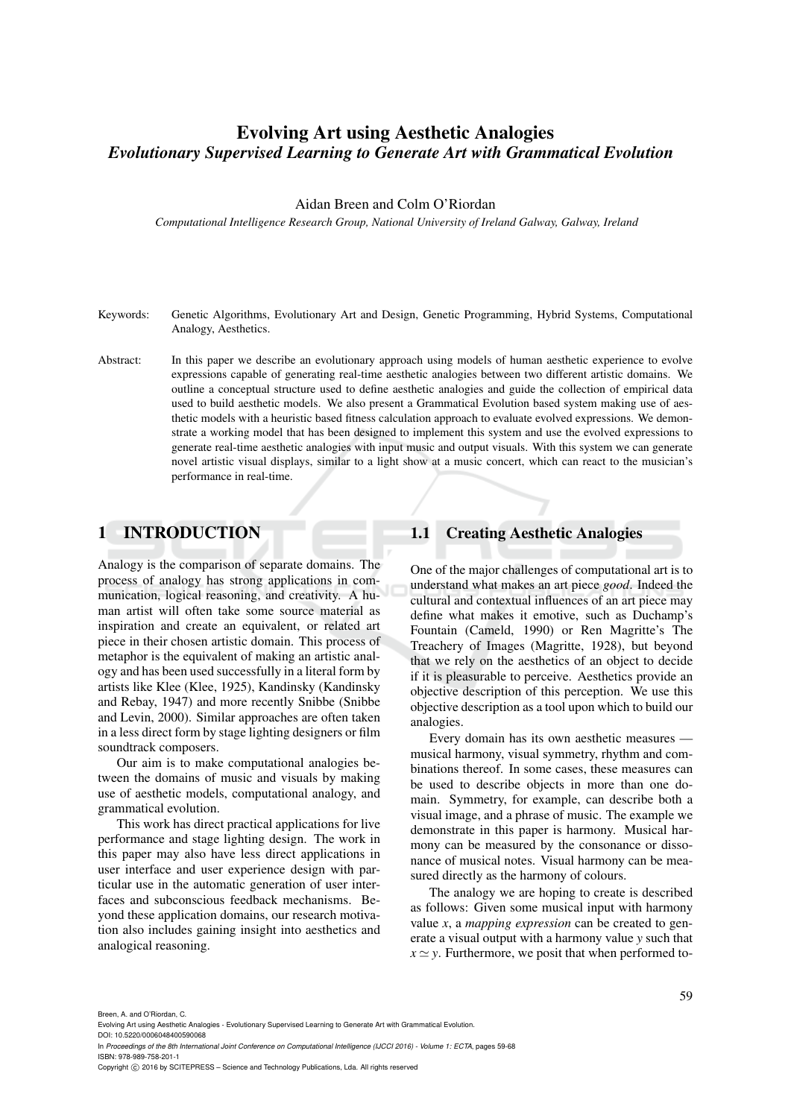# Evolving Art using Aesthetic Analogies *Evolutionary Supervised Learning to Generate Art with Grammatical Evolution*

### Aidan Breen and Colm O'Riordan

*Computational Intelligence Research Group, National University of Ireland Galway, Galway, Ireland*

- Keywords: Genetic Algorithms, Evolutionary Art and Design, Genetic Programming, Hybrid Systems, Computational Analogy, Aesthetics.
- Abstract: In this paper we describe an evolutionary approach using models of human aesthetic experience to evolve expressions capable of generating real-time aesthetic analogies between two different artistic domains. We outline a conceptual structure used to define aesthetic analogies and guide the collection of empirical data used to build aesthetic models. We also present a Grammatical Evolution based system making use of aesthetic models with a heuristic based fitness calculation approach to evaluate evolved expressions. We demonstrate a working model that has been designed to implement this system and use the evolved expressions to generate real-time aesthetic analogies with input music and output visuals. With this system we can generate novel artistic visual displays, similar to a light show at a music concert, which can react to the musician's performance in real-time.

## 1 INTRODUCTION

Analogy is the comparison of separate domains. The process of analogy has strong applications in communication, logical reasoning, and creativity. A human artist will often take some source material as inspiration and create an equivalent, or related art piece in their chosen artistic domain. This process of metaphor is the equivalent of making an artistic analogy and has been used successfully in a literal form by artists like Klee (Klee, 1925), Kandinsky (Kandinsky and Rebay, 1947) and more recently Snibbe (Snibbe and Levin, 2000). Similar approaches are often taken in a less direct form by stage lighting designers or film soundtrack composers.

Our aim is to make computational analogies between the domains of music and visuals by making use of aesthetic models, computational analogy, and grammatical evolution.

This work has direct practical applications for live performance and stage lighting design. The work in this paper may also have less direct applications in user interface and user experience design with particular use in the automatic generation of user interfaces and subconscious feedback mechanisms. Beyond these application domains, our research motivation also includes gaining insight into aesthetics and analogical reasoning.

### 1.1 Creating Aesthetic Analogies

One of the major challenges of computational art is to understand what makes an art piece *good*. Indeed the cultural and contextual influences of an art piece may define what makes it emotive, such as Duchamp's Fountain (Cameld, 1990) or Ren Magritte's The Treachery of Images (Magritte, 1928), but beyond that we rely on the aesthetics of an object to decide if it is pleasurable to perceive. Aesthetics provide an objective description of this perception. We use this objective description as a tool upon which to build our analogies.

Every domain has its own aesthetic measures musical harmony, visual symmetry, rhythm and combinations thereof. In some cases, these measures can be used to describe objects in more than one domain. Symmetry, for example, can describe both a visual image, and a phrase of music. The example we demonstrate in this paper is harmony. Musical harmony can be measured by the consonance or dissonance of musical notes. Visual harmony can be measured directly as the harmony of colours.

The analogy we are hoping to create is described as follows: Given some musical input with harmony value *x*, a *mapping expression* can be created to generate a visual output with a harmony value *y* such that  $x \simeq y$ . Furthermore, we posit that when performed to-

Breen, A. and O'Riordan, C.

Evolving Art using Aesthetic Analogies - Evolutionary Supervised Learning to Generate Art with Grammatical Evolution. DOI: 10.5220/0006048400590068

In *Proceedings of the 8th International Joint Conference on Computational Intelligence (IJCCI 2016) - Volume 1: ECTA*, pages 59-68 ISBN: 978-989-758-201-1

Copyright (C) 2016 by SCITEPRESS - Science and Technology Publications, Lda. All rights reserved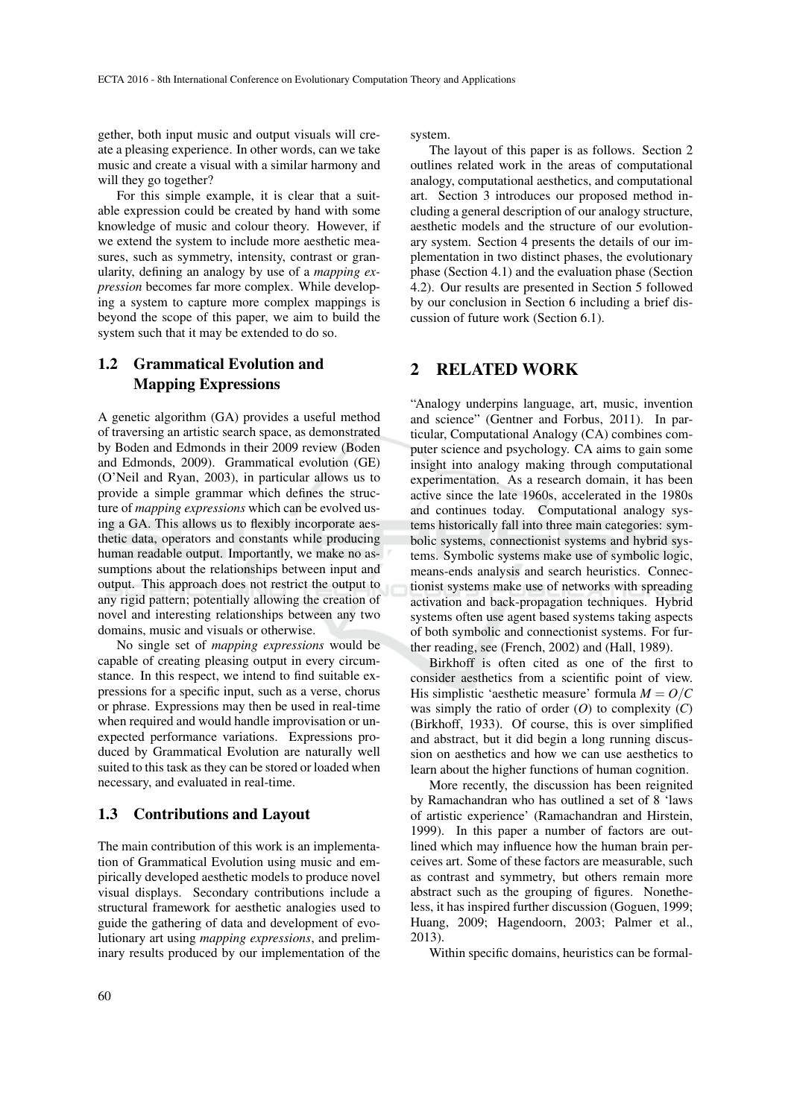gether, both input music and output visuals will create a pleasing experience. In other words, can we take music and create a visual with a similar harmony and will they go together?

For this simple example, it is clear that a suitable expression could be created by hand with some knowledge of music and colour theory. However, if we extend the system to include more aesthetic measures, such as symmetry, intensity, contrast or granularity, defining an analogy by use of a *mapping expression* becomes far more complex. While developing a system to capture more complex mappings is beyond the scope of this paper, we aim to build the system such that it may be extended to do so.

## 1.2 Grammatical Evolution and Mapping Expressions

A genetic algorithm (GA) provides a useful method of traversing an artistic search space, as demonstrated by Boden and Edmonds in their 2009 review (Boden and Edmonds, 2009). Grammatical evolution (GE) (O'Neil and Ryan, 2003), in particular allows us to provide a simple grammar which defines the structure of *mapping expressions* which can be evolved using a GA. This allows us to flexibly incorporate aesthetic data, operators and constants while producing human readable output. Importantly, we make no assumptions about the relationships between input and output. This approach does not restrict the output to any rigid pattern; potentially allowing the creation of novel and interesting relationships between any two domains, music and visuals or otherwise.

No single set of *mapping expressions* would be capable of creating pleasing output in every circumstance. In this respect, we intend to find suitable expressions for a specific input, such as a verse, chorus or phrase. Expressions may then be used in real-time when required and would handle improvisation or unexpected performance variations. Expressions produced by Grammatical Evolution are naturally well suited to this task as they can be stored or loaded when necessary, and evaluated in real-time.

### 1.3 Contributions and Layout

The main contribution of this work is an implementation of Grammatical Evolution using music and empirically developed aesthetic models to produce novel visual displays. Secondary contributions include a structural framework for aesthetic analogies used to guide the gathering of data and development of evolutionary art using *mapping expressions*, and preliminary results produced by our implementation of the system.

The layout of this paper is as follows. Section 2 outlines related work in the areas of computational analogy, computational aesthetics, and computational art. Section 3 introduces our proposed method including a general description of our analogy structure, aesthetic models and the structure of our evolutionary system. Section 4 presents the details of our implementation in two distinct phases, the evolutionary phase (Section 4.1) and the evaluation phase (Section 4.2). Our results are presented in Section 5 followed by our conclusion in Section 6 including a brief discussion of future work (Section 6.1).

## 2 RELATED WORK

"Analogy underpins language, art, music, invention and science" (Gentner and Forbus, 2011). In particular, Computational Analogy (CA) combines computer science and psychology. CA aims to gain some insight into analogy making through computational experimentation. As a research domain, it has been active since the late 1960s, accelerated in the 1980s and continues today. Computational analogy systems historically fall into three main categories: symbolic systems, connectionist systems and hybrid systems. Symbolic systems make use of symbolic logic, means-ends analysis and search heuristics. Connectionist systems make use of networks with spreading activation and back-propagation techniques. Hybrid systems often use agent based systems taking aspects of both symbolic and connectionist systems. For further reading, see (French, 2002) and (Hall, 1989).

Birkhoff is often cited as one of the first to consider aesthetics from a scientific point of view. His simplistic 'aesthetic measure' formula  $M = O/C$ was simply the ratio of order  $(O)$  to complexity  $(C)$ (Birkhoff, 1933). Of course, this is over simplified and abstract, but it did begin a long running discussion on aesthetics and how we can use aesthetics to learn about the higher functions of human cognition.

More recently, the discussion has been reignited by Ramachandran who has outlined a set of 8 'laws of artistic experience' (Ramachandran and Hirstein, 1999). In this paper a number of factors are outlined which may influence how the human brain perceives art. Some of these factors are measurable, such as contrast and symmetry, but others remain more abstract such as the grouping of figures. Nonetheless, it has inspired further discussion (Goguen, 1999; Huang, 2009; Hagendoorn, 2003; Palmer et al., 2013).

Within specific domains, heuristics can be formal-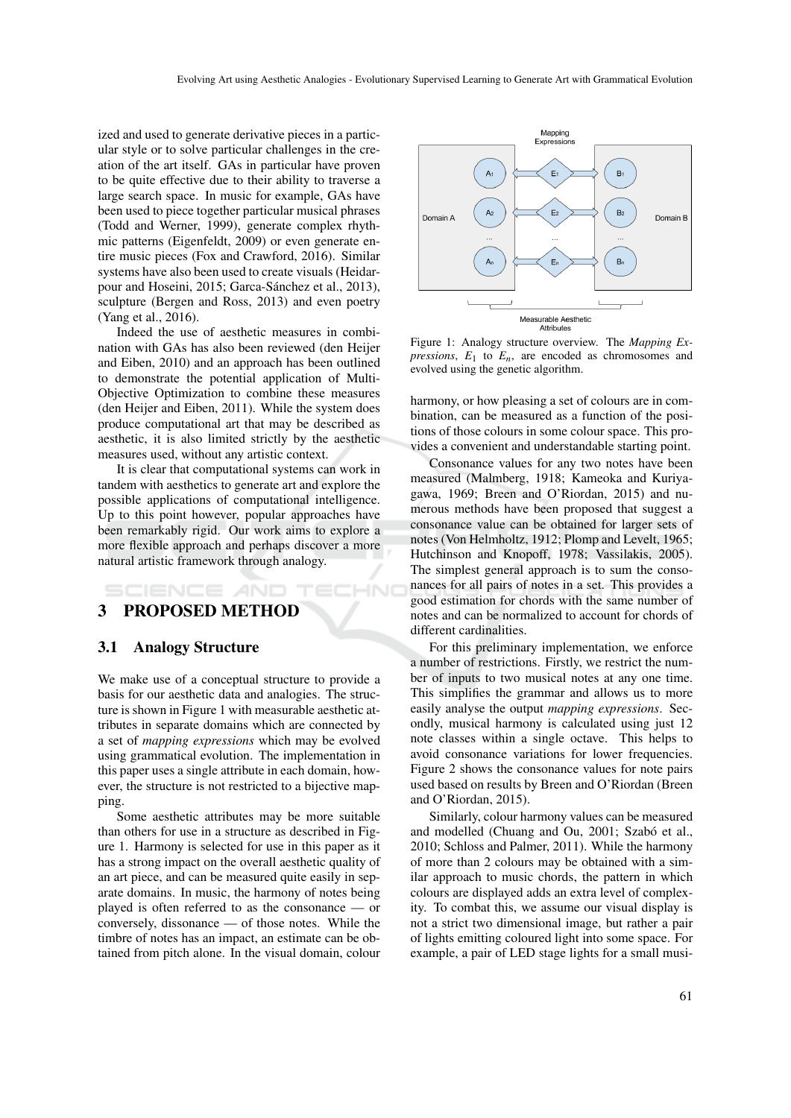ized and used to generate derivative pieces in a particular style or to solve particular challenges in the creation of the art itself. GAs in particular have proven to be quite effective due to their ability to traverse a large search space. In music for example, GAs have been used to piece together particular musical phrases (Todd and Werner, 1999), generate complex rhythmic patterns (Eigenfeldt, 2009) or even generate entire music pieces (Fox and Crawford, 2016). Similar systems have also been used to create visuals (Heidarpour and Hoseini, 2015; Garca-Sánchez et al., 2013). sculpture (Bergen and Ross, 2013) and even poetry (Yang et al., 2016).

Indeed the use of aesthetic measures in combination with GAs has also been reviewed (den Heijer and Eiben, 2010) and an approach has been outlined to demonstrate the potential application of Multi-Objective Optimization to combine these measures (den Heijer and Eiben, 2011). While the system does produce computational art that may be described as aesthetic, it is also limited strictly by the aesthetic measures used, without any artistic context.

It is clear that computational systems can work in tandem with aesthetics to generate art and explore the possible applications of computational intelligence. Up to this point however, popular approaches have been remarkably rigid. Our work aims to explore a more flexible approach and perhaps discover a more natural artistic framework through analogy.

## 3 PROPOSED METHOD

:IENCE *A*ND

### 3.1 Analogy Structure

We make use of a conceptual structure to provide a basis for our aesthetic data and analogies. The structure is shown in Figure 1 with measurable aesthetic attributes in separate domains which are connected by a set of *mapping expressions* which may be evolved using grammatical evolution. The implementation in this paper uses a single attribute in each domain, however, the structure is not restricted to a bijective mapping.

Some aesthetic attributes may be more suitable than others for use in a structure as described in Figure 1. Harmony is selected for use in this paper as it has a strong impact on the overall aesthetic quality of an art piece, and can be measured quite easily in separate domains. In music, the harmony of notes being played is often referred to as the consonance — or conversely, dissonance — of those notes. While the timbre of notes has an impact, an estimate can be obtained from pitch alone. In the visual domain, colour



Figure 1: Analogy structure overview. The *Mapping Expressions*,  $E_1$  to  $E_n$ , are encoded as chromosomes and evolved using the genetic algorithm.

harmony, or how pleasing a set of colours are in combination, can be measured as a function of the positions of those colours in some colour space. This provides a convenient and understandable starting point.

Consonance values for any two notes have been measured (Malmberg, 1918; Kameoka and Kuriyagawa, 1969; Breen and O'Riordan, 2015) and numerous methods have been proposed that suggest a consonance value can be obtained for larger sets of notes (Von Helmholtz, 1912; Plomp and Levelt, 1965; Hutchinson and Knopoff, 1978; Vassilakis, 2005). The simplest general approach is to sum the consonances for all pairs of notes in a set. This provides a good estimation for chords with the same number of notes and can be normalized to account for chords of different cardinalities.

For this preliminary implementation, we enforce a number of restrictions. Firstly, we restrict the number of inputs to two musical notes at any one time. This simplifies the grammar and allows us to more easily analyse the output *mapping expressions*. Secondly, musical harmony is calculated using just 12 note classes within a single octave. This helps to avoid consonance variations for lower frequencies. Figure 2 shows the consonance values for note pairs used based on results by Breen and O'Riordan (Breen and O'Riordan, 2015).

Similarly, colour harmony values can be measured and modelled (Chuang and Ou, 2001; Szabó et al., 2010; Schloss and Palmer, 2011). While the harmony of more than 2 colours may be obtained with a similar approach to music chords, the pattern in which colours are displayed adds an extra level of complexity. To combat this, we assume our visual display is not a strict two dimensional image, but rather a pair of lights emitting coloured light into some space. For example, a pair of LED stage lights for a small musi-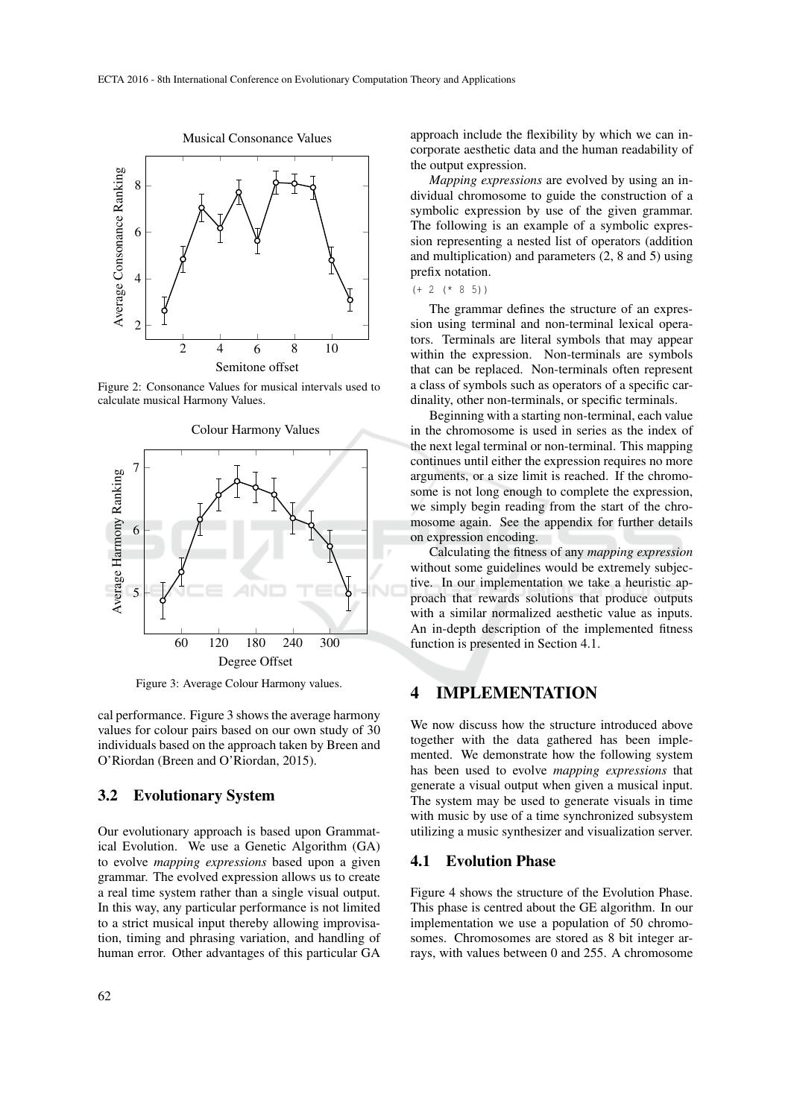

Figure 2: Consonance Values for musical intervals used to calculate musical Harmony Values.



Colour Harmony Values

Figure 3: Average Colour Harmony values.

cal performance. Figure 3 shows the average harmony values for colour pairs based on our own study of 30 individuals based on the approach taken by Breen and O'Riordan (Breen and O'Riordan, 2015).

### 3.2 Evolutionary System

Our evolutionary approach is based upon Grammatical Evolution. We use a Genetic Algorithm (GA) to evolve *mapping expressions* based upon a given grammar. The evolved expression allows us to create a real time system rather than a single visual output. In this way, any particular performance is not limited to a strict musical input thereby allowing improvisation, timing and phrasing variation, and handling of human error. Other advantages of this particular GA

approach include the flexibility by which we can incorporate aesthetic data and the human readability of the output expression.

*Mapping expressions* are evolved by using an individual chromosome to guide the construction of a symbolic expression by use of the given grammar. The following is an example of a symbolic expression representing a nested list of operators (addition and multiplication) and parameters (2, 8 and 5) using prefix notation.

 $(+ 2 (+ 8 5))$ 

The grammar defines the structure of an expression using terminal and non-terminal lexical operators. Terminals are literal symbols that may appear within the expression. Non-terminals are symbols that can be replaced. Non-terminals often represent a class of symbols such as operators of a specific cardinality, other non-terminals, or specific terminals.

Beginning with a starting non-terminal, each value in the chromosome is used in series as the index of the next legal terminal or non-terminal. This mapping continues until either the expression requires no more arguments, or a size limit is reached. If the chromosome is not long enough to complete the expression, we simply begin reading from the start of the chromosome again. See the appendix for further details on expression encoding.

Calculating the fitness of any *mapping expression* without some guidelines would be extremely subjective. In our implementation we take a heuristic approach that rewards solutions that produce outputs with a similar normalized aesthetic value as inputs. An in-depth description of the implemented fitness function is presented in Section 4.1.

## 4 IMPLEMENTATION

We now discuss how the structure introduced above together with the data gathered has been implemented. We demonstrate how the following system has been used to evolve *mapping expressions* that generate a visual output when given a musical input. The system may be used to generate visuals in time with music by use of a time synchronized subsystem utilizing a music synthesizer and visualization server.

### 4.1 Evolution Phase

Figure 4 shows the structure of the Evolution Phase. This phase is centred about the GE algorithm. In our implementation we use a population of 50 chromosomes. Chromosomes are stored as 8 bit integer arrays, with values between 0 and 255. A chromosome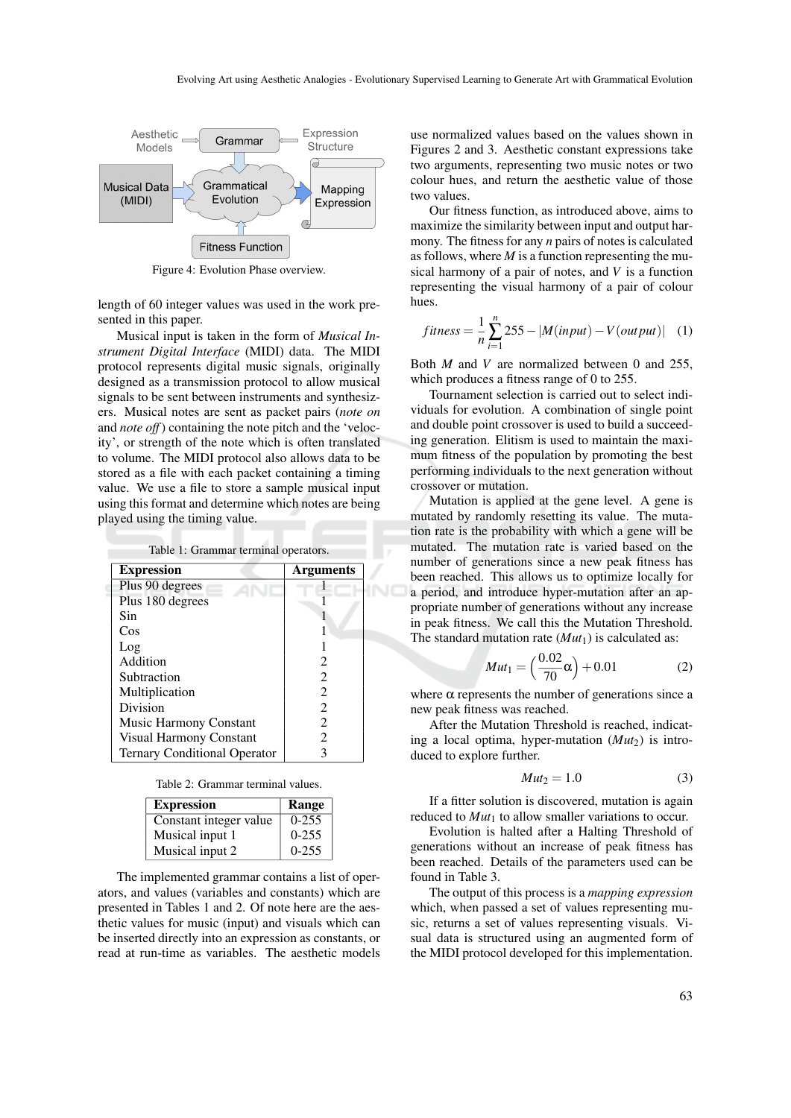

Figure 4: Evolution Phase overview.

length of 60 integer values was used in the work presented in this paper.

Musical input is taken in the form of *Musical Instrument Digital Interface* (MIDI) data. The MIDI protocol represents digital music signals, originally designed as a transmission protocol to allow musical signals to be sent between instruments and synthesizers. Musical notes are sent as packet pairs (*note on* and *note off*) containing the note pitch and the 'velocity', or strength of the note which is often translated to volume. The MIDI protocol also allows data to be stored as a file with each packet containing a timing value. We use a file to store a sample musical input using this format and determine which notes are being played using the timing value.

Table 1: Grammar terminal operators.

| <b>Expression</b>                   | <b>Arguments</b>            |  |
|-------------------------------------|-----------------------------|--|
| Plus 90 degrees                     |                             |  |
| Plus 180 degrees                    |                             |  |
| Sin                                 |                             |  |
| Cos                                 |                             |  |
| Log                                 |                             |  |
| Addition                            |                             |  |
| Subtraction                         | $\mathfrak{D}$              |  |
| Multiplication                      | $\mathcal{D}_{\mathcal{L}}$ |  |
| Division                            | $\mathfrak{D}$              |  |
| Music Harmony Constant              | $\mathfrak{D}$              |  |
| <b>Visual Harmony Constant</b>      | 2                           |  |
| <b>Ternary Conditional Operator</b> |                             |  |

Table 2: Grammar terminal values.

| <b>Expression</b>      | Range     |
|------------------------|-----------|
| Constant integer value | $0 - 255$ |
| Musical input 1        | $0 - 255$ |
| Musical input 2        | $0 - 255$ |

The implemented grammar contains a list of operators, and values (variables and constants) which are presented in Tables 1 and 2. Of note here are the aesthetic values for music (input) and visuals which can be inserted directly into an expression as constants, or read at run-time as variables. The aesthetic models

use normalized values based on the values shown in Figures 2 and 3. Aesthetic constant expressions take two arguments, representing two music notes or two colour hues, and return the aesthetic value of those two values.

Our fitness function, as introduced above, aims to maximize the similarity between input and output harmony. The fitness for any *n* pairs of notes is calculated as follows, where *M* is a function representing the musical harmony of a pair of notes, and *V* is a function representing the visual harmony of a pair of colour hues.

$$
fitness = \frac{1}{n} \sum_{i=1}^{n} 255 - |M(input) - V(output)| \quad (1)
$$

Both *M* and *V* are normalized between 0 and 255, which produces a fitness range of 0 to 255.

Tournament selection is carried out to select individuals for evolution. A combination of single point and double point crossover is used to build a succeeding generation. Elitism is used to maintain the maximum fitness of the population by promoting the best performing individuals to the next generation without crossover or mutation.

Mutation is applied at the gene level. A gene is mutated by randomly resetting its value. The mutation rate is the probability with which a gene will be mutated. The mutation rate is varied based on the number of generations since a new peak fitness has been reached. This allows us to optimize locally for a period, and introduce hyper-mutation after an appropriate number of generations without any increase in peak fitness. We call this the Mutation Threshold. The standard mutation rate  $(Mut_1)$  is calculated as:

$$
Mut_1 = \left(\frac{0.02}{70}\alpha\right) + 0.01\tag{2}
$$

where  $\alpha$  represents the number of generations since a new peak fitness was reached.

After the Mutation Threshold is reached, indicating a local optima, hyper-mutation  $(Mut<sub>2</sub>)$  is introduced to explore further.

$$
Mut_2 = 1.0 \tag{3}
$$

If a fitter solution is discovered, mutation is again reduced to  $Mut_1$  to allow smaller variations to occur.

Evolution is halted after a Halting Threshold of generations without an increase of peak fitness has been reached. Details of the parameters used can be found in Table 3.

The output of this process is a *mapping expression* which, when passed a set of values representing music, returns a set of values representing visuals. Visual data is structured using an augmented form of the MIDI protocol developed for this implementation.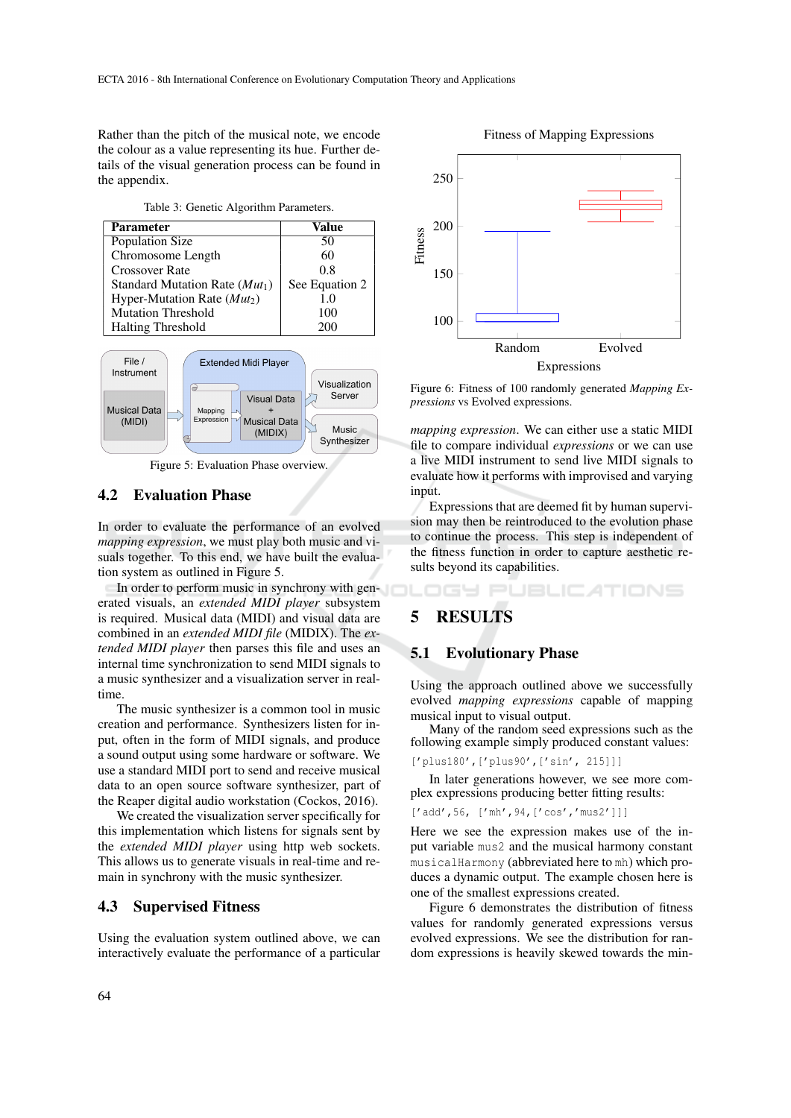Rather than the pitch of the musical note, we encode the colour as a value representing its hue. Further details of the visual generation process can be found in the appendix.

Table 3: Genetic Algorithm Parameters.

| <b>Parameter</b>                 | Value          |
|----------------------------------|----------------|
| <b>Population Size</b>           | 50             |
| Chromosome Length                | 60             |
| <b>Crossover Rate</b>            | 0.8            |
| Standard Mutation Rate $(Mut_1)$ | See Equation 2 |
| Hyper-Mutation Rate $(Mut2)$     | 1.0            |
| <b>Mutation Threshold</b>        | 100            |
| <b>Halting Threshold</b>         | 200            |



Figure 5: Evaluation Phase overview.

### 4.2 Evaluation Phase

In order to evaluate the performance of an evolved *mapping expression*, we must play both music and visuals together. To this end, we have built the evaluation system as outlined in Figure 5.

In order to perform music in synchrony with generated visuals, an *extended MIDI player* subsystem is required. Musical data (MIDI) and visual data are combined in an *extended MIDI file* (MIDIX). The *extended MIDI player* then parses this file and uses an internal time synchronization to send MIDI signals to a music synthesizer and a visualization server in realtime.

The music synthesizer is a common tool in music creation and performance. Synthesizers listen for input, often in the form of MIDI signals, and produce a sound output using some hardware or software. We use a standard MIDI port to send and receive musical data to an open source software synthesizer, part of the Reaper digital audio workstation (Cockos, 2016).

We created the visualization server specifically for this implementation which listens for signals sent by the *extended MIDI player* using http web sockets. This allows us to generate visuals in real-time and remain in synchrony with the music synthesizer.

### 4.3 Supervised Fitness

Using the evaluation system outlined above, we can interactively evaluate the performance of a particular



Figure 6: Fitness of 100 randomly generated *Mapping Expressions* vs Evolved expressions.

*mapping expression*. We can either use a static MIDI file to compare individual *expressions* or we can use a live MIDI instrument to send live MIDI signals to evaluate how it performs with improvised and varying input.

Expressions that are deemed fit by human supervision may then be reintroduced to the evolution phase to continue the process. This step is independent of the fitness function in order to capture aesthetic results beyond its capabilities.

JELIC ATIONS

# 5 RESULTS

### 5.1 Evolutionary Phase

Using the approach outlined above we successfully evolved *mapping expressions* capable of mapping musical input to visual output.

Many of the random seed expressions such as the following example simply produced constant values:

```
['plus180',['plus90',['sin', 215]]]
```
In later generations however, we see more complex expressions producing better fitting results:

['add',56, ['mh',94, ['cos','mus2']]]

Here we see the expression makes use of the input variable mus2 and the musical harmony constant musicalHarmony (abbreviated here to mh) which produces a dynamic output. The example chosen here is one of the smallest expressions created.

Figure 6 demonstrates the distribution of fitness values for randomly generated expressions versus evolved expressions. We see the distribution for random expressions is heavily skewed towards the min-

#### Fitness of Mapping Expressions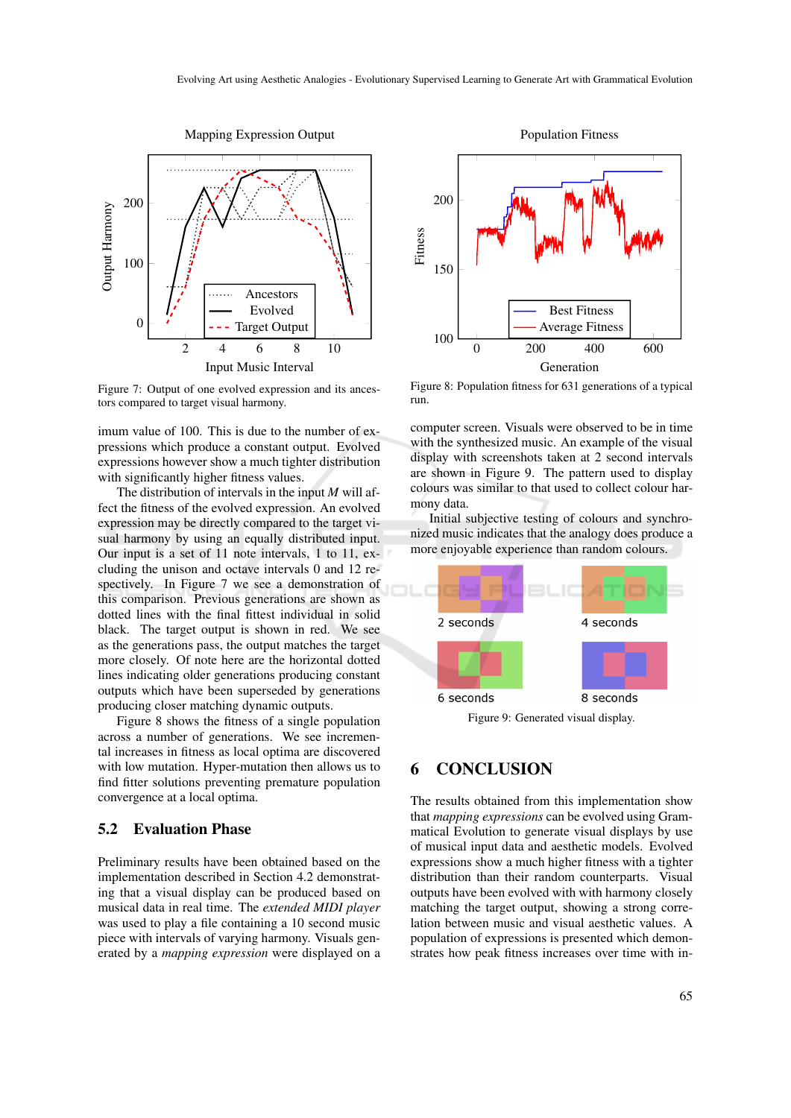

Figure 7: Output of one evolved expression and its ancestors compared to target visual harmony.

imum value of 100. This is due to the number of expressions which produce a constant output. Evolved expressions however show a much tighter distribution with significantly higher fitness values.

The distribution of intervals in the input *M* will affect the fitness of the evolved expression. An evolved expression may be directly compared to the target visual harmony by using an equally distributed input. Our input is a set of 11 note intervals, 1 to 11, excluding the unison and octave intervals 0 and 12 respectively. In Figure 7 we see a demonstration of this comparison. Previous generations are shown as dotted lines with the final fittest individual in solid black. The target output is shown in red. We see as the generations pass, the output matches the target more closely. Of note here are the horizontal dotted lines indicating older generations producing constant outputs which have been superseded by generations producing closer matching dynamic outputs.

Figure 8 shows the fitness of a single population across a number of generations. We see incremental increases in fitness as local optima are discovered with low mutation. Hyper-mutation then allows us to find fitter solutions preventing premature population convergence at a local optima.

### 5.2 Evaluation Phase

Preliminary results have been obtained based on the implementation described in Section 4.2 demonstrating that a visual display can be produced based on musical data in real time. The *extended MIDI player* was used to play a file containing a 10 second music piece with intervals of varying harmony. Visuals generated by a *mapping expression* were displayed on a



Figure 8: Population fitness for 631 generations of a typical run.

computer screen. Visuals were observed to be in time with the synthesized music. An example of the visual display with screenshots taken at 2 second intervals are shown in Figure 9. The pattern used to display colours was similar to that used to collect colour harmony data.

Initial subjective testing of colours and synchronized music indicates that the analogy does produce a more enjoyable experience than random colours.



Figure 9: Generated visual display.

# 6 CONCLUSION

The results obtained from this implementation show that *mapping expressions* can be evolved using Grammatical Evolution to generate visual displays by use of musical input data and aesthetic models. Evolved expressions show a much higher fitness with a tighter distribution than their random counterparts. Visual outputs have been evolved with with harmony closely matching the target output, showing a strong correlation between music and visual aesthetic values. A population of expressions is presented which demonstrates how peak fitness increases over time with in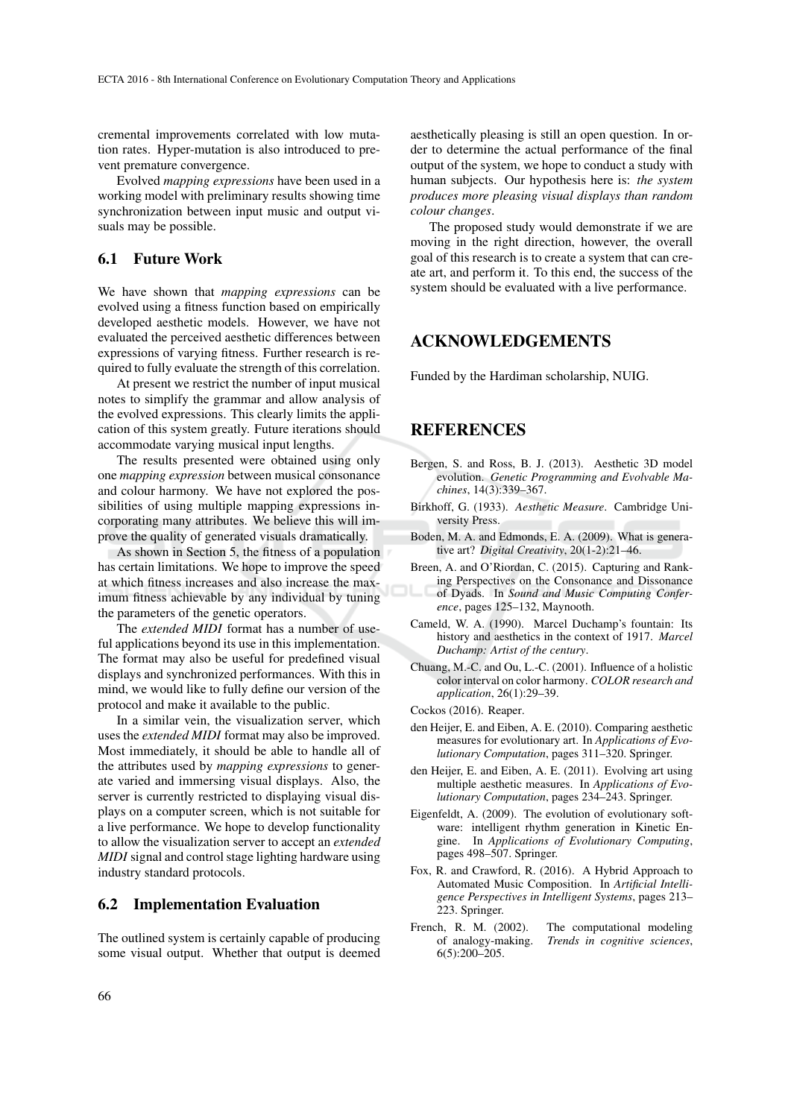cremental improvements correlated with low mutation rates. Hyper-mutation is also introduced to prevent premature convergence.

Evolved *mapping expressions* have been used in a working model with preliminary results showing time synchronization between input music and output visuals may be possible.

### 6.1 Future Work

We have shown that *mapping expressions* can be evolved using a fitness function based on empirically developed aesthetic models. However, we have not evaluated the perceived aesthetic differences between expressions of varying fitness. Further research is required to fully evaluate the strength of this correlation.

At present we restrict the number of input musical notes to simplify the grammar and allow analysis of the evolved expressions. This clearly limits the application of this system greatly. Future iterations should accommodate varying musical input lengths.

The results presented were obtained using only one *mapping expression* between musical consonance and colour harmony. We have not explored the possibilities of using multiple mapping expressions incorporating many attributes. We believe this will improve the quality of generated visuals dramatically.

As shown in Section 5, the fitness of a population has certain limitations. We hope to improve the speed at which fitness increases and also increase the maximum fitness achievable by any individual by tuning the parameters of the genetic operators.

The *extended MIDI* format has a number of useful applications beyond its use in this implementation. The format may also be useful for predefined visual displays and synchronized performances. With this in mind, we would like to fully define our version of the protocol and make it available to the public.

In a similar vein, the visualization server, which uses the *extended MIDI* format may also be improved. Most immediately, it should be able to handle all of the attributes used by *mapping expressions* to generate varied and immersing visual displays. Also, the server is currently restricted to displaying visual displays on a computer screen, which is not suitable for a live performance. We hope to develop functionality to allow the visualization server to accept an *extended MIDI* signal and control stage lighting hardware using industry standard protocols.

### 6.2 Implementation Evaluation

The outlined system is certainly capable of producing some visual output. Whether that output is deemed

aesthetically pleasing is still an open question. In order to determine the actual performance of the final output of the system, we hope to conduct a study with human subjects. Our hypothesis here is: *the system produces more pleasing visual displays than random colour changes*.

The proposed study would demonstrate if we are moving in the right direction, however, the overall goal of this research is to create a system that can create art, and perform it. To this end, the success of the system should be evaluated with a live performance.

## ACKNOWLEDGEMENTS

Funded by the Hardiman scholarship, NUIG.

# **REFERENCES**

- Bergen, S. and Ross, B. J. (2013). Aesthetic 3D model evolution. *Genetic Programming and Evolvable Machines*, 14(3):339–367.
- Birkhoff, G. (1933). *Aesthetic Measure*. Cambridge University Press.
- Boden, M. A. and Edmonds, E. A. (2009). What is generative art? *Digital Creativity*, 20(1-2):21–46.
- Breen, A. and O'Riordan, C. (2015). Capturing and Ranking Perspectives on the Consonance and Dissonance of Dyads. In *Sound and Music Computing Conference*, pages 125–132, Maynooth.
- Cameld, W. A. (1990). Marcel Duchamp's fountain: Its history and aesthetics in the context of 1917. *Marcel Duchamp: Artist of the century*.
- Chuang, M.-C. and Ou, L.-C. (2001). Influence of a holistic color interval on color harmony. *COLOR research and application*, 26(1):29–39.
- Cockos (2016). Reaper.
- den Heijer, E. and Eiben, A. E. (2010). Comparing aesthetic measures for evolutionary art. In *Applications of Evolutionary Computation*, pages 311–320. Springer.
- den Heijer, E. and Eiben, A. E. (2011). Evolving art using multiple aesthetic measures. In *Applications of Evolutionary Computation*, pages 234–243. Springer.
- Eigenfeldt, A. (2009). The evolution of evolutionary software: intelligent rhythm generation in Kinetic Engine. In *Applications of Evolutionary Computing*, pages 498–507. Springer.
- Fox, R. and Crawford, R. (2016). A Hybrid Approach to Automated Music Composition. In *Artificial Intelligence Perspectives in Intelligent Systems*, pages 213– 223. Springer.
- French, R. M. (2002). The computational modeling of analogy-making. *Trends in cognitive sciences*, 6(5):200–205.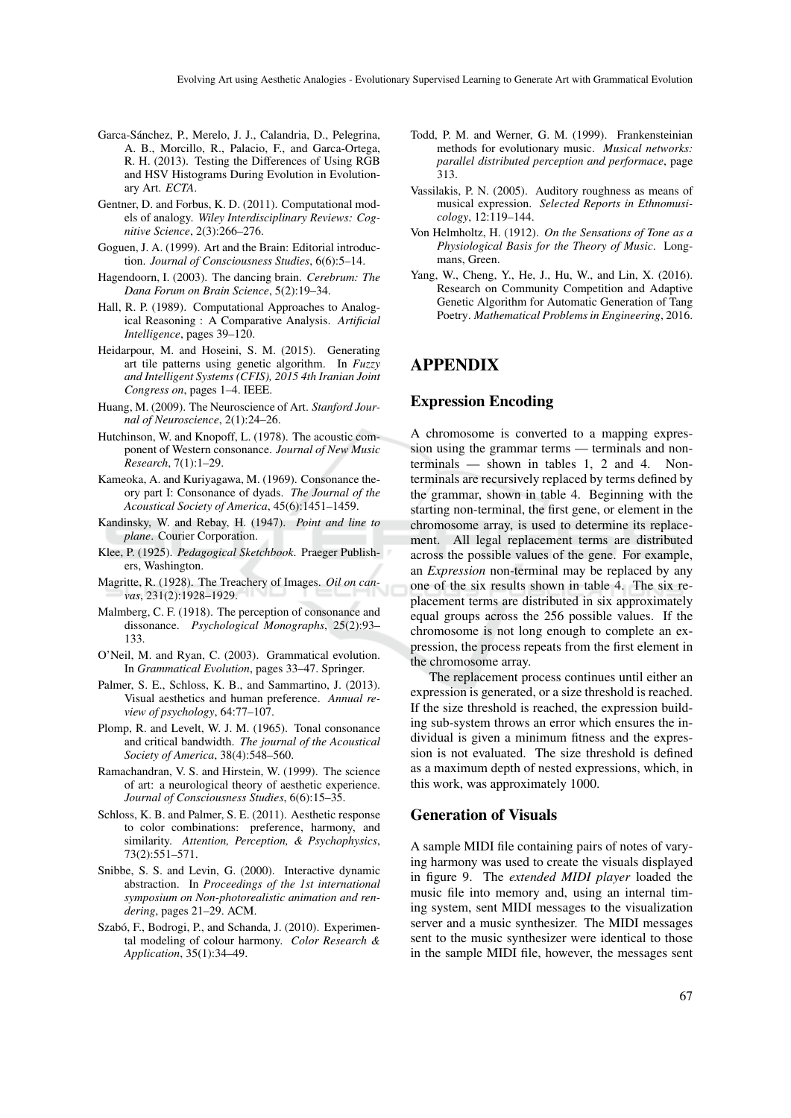- Garca-Sanchez, P., Merelo, J. J., Calandria, D., Pelegrina, ´ A. B., Morcillo, R., Palacio, F., and Garca-Ortega, R. H. (2013). Testing the Differences of Using RGB and HSV Histograms During Evolution in Evolutionary Art. *ECTA*.
- Gentner, D. and Forbus, K. D. (2011). Computational models of analogy. *Wiley Interdisciplinary Reviews: Cognitive Science*, 2(3):266–276.
- Goguen, J. A. (1999). Art and the Brain: Editorial introduction. *Journal of Consciousness Studies*, 6(6):5–14.
- Hagendoorn, I. (2003). The dancing brain. *Cerebrum: The Dana Forum on Brain Science*, 5(2):19–34.
- Hall, R. P. (1989). Computational Approaches to Analogical Reasoning : A Comparative Analysis. *Artificial Intelligence*, pages 39–120.
- Heidarpour, M. and Hoseini, S. M. (2015). Generating art tile patterns using genetic algorithm. In *Fuzzy and Intelligent Systems (CFIS), 2015 4th Iranian Joint Congress on*, pages 1–4. IEEE.
- Huang, M. (2009). The Neuroscience of Art. *Stanford Journal of Neuroscience*, 2(1):24–26.
- Hutchinson, W. and Knopoff, L. (1978). The acoustic component of Western consonance. *Journal of New Music Research*, 7(1):1–29.
- Kameoka, A. and Kuriyagawa, M. (1969). Consonance theory part I: Consonance of dyads. *The Journal of the Acoustical Society of America*, 45(6):1451–1459.
- Kandinsky, W. and Rebay, H. (1947). *Point and line to plane*. Courier Corporation.
- Klee, P. (1925). *Pedagogical Sketchbook*. Praeger Publishers, Washington.
- Magritte, R. (1928). The Treachery of Images. *Oil on canvas*, 231(2):1928–1929.
- Malmberg, C. F. (1918). The perception of consonance and dissonance. *Psychological Monographs*, 25(2):93– 133.
- O'Neil, M. and Ryan, C. (2003). Grammatical evolution. In *Grammatical Evolution*, pages 33–47. Springer.
- Palmer, S. E., Schloss, K. B., and Sammartino, J. (2013). Visual aesthetics and human preference. *Annual review of psychology*, 64:77–107.
- Plomp, R. and Levelt, W. J. M. (1965). Tonal consonance and critical bandwidth. *The journal of the Acoustical Society of America*, 38(4):548–560.
- Ramachandran, V. S. and Hirstein, W. (1999). The science of art: a neurological theory of aesthetic experience. *Journal of Consciousness Studies*, 6(6):15–35.
- Schloss, K. B. and Palmer, S. E. (2011). Aesthetic response to color combinations: preference, harmony, and similarity. *Attention, Perception, & Psychophysics*, 73(2):551–571.
- Snibbe, S. S. and Levin, G. (2000). Interactive dynamic abstraction. In *Proceedings of the 1st international symposium on Non-photorealistic animation and rendering*, pages 21–29. ACM.
- Szabó, F., Bodrogi, P., and Schanda, J. (2010). Experimental modeling of colour harmony. *Color Research & Application*, 35(1):34–49.
- Todd, P. M. and Werner, G. M. (1999). Frankensteinian methods for evolutionary music. *Musical networks: parallel distributed perception and performace*, page 313.
- Vassilakis, P. N. (2005). Auditory roughness as means of musical expression. *Selected Reports in Ethnomusicology*, 12:119–144.
- Von Helmholtz, H. (1912). *On the Sensations of Tone as a Physiological Basis for the Theory of Music*. Longmans, Green.
- Yang, W., Cheng, Y., He, J., Hu, W., and Lin, X. (2016). Research on Community Competition and Adaptive Genetic Algorithm for Automatic Generation of Tang Poetry. *Mathematical Problems in Engineering*, 2016.

## APPENDIX

### Expression Encoding

A chromosome is converted to a mapping expression using the grammar terms — terminals and nonterminals — shown in tables 1, 2 and 4. Nonterminals are recursively replaced by terms defined by the grammar, shown in table 4. Beginning with the starting non-terminal, the first gene, or element in the chromosome array, is used to determine its replacement. All legal replacement terms are distributed across the possible values of the gene. For example, an *Expression* non-terminal may be replaced by any one of the six results shown in table 4. The six replacement terms are distributed in six approximately equal groups across the 256 possible values. If the chromosome is not long enough to complete an expression, the process repeats from the first element in the chromosome array.

The replacement process continues until either an expression is generated, or a size threshold is reached. If the size threshold is reached, the expression building sub-system throws an error which ensures the individual is given a minimum fitness and the expression is not evaluated. The size threshold is defined as a maximum depth of nested expressions, which, in this work, was approximately 1000.

### Generation of Visuals

A sample MIDI file containing pairs of notes of varying harmony was used to create the visuals displayed in figure 9. The *extended MIDI player* loaded the music file into memory and, using an internal timing system, sent MIDI messages to the visualization server and a music synthesizer. The MIDI messages sent to the music synthesizer were identical to those in the sample MIDI file, however, the messages sent